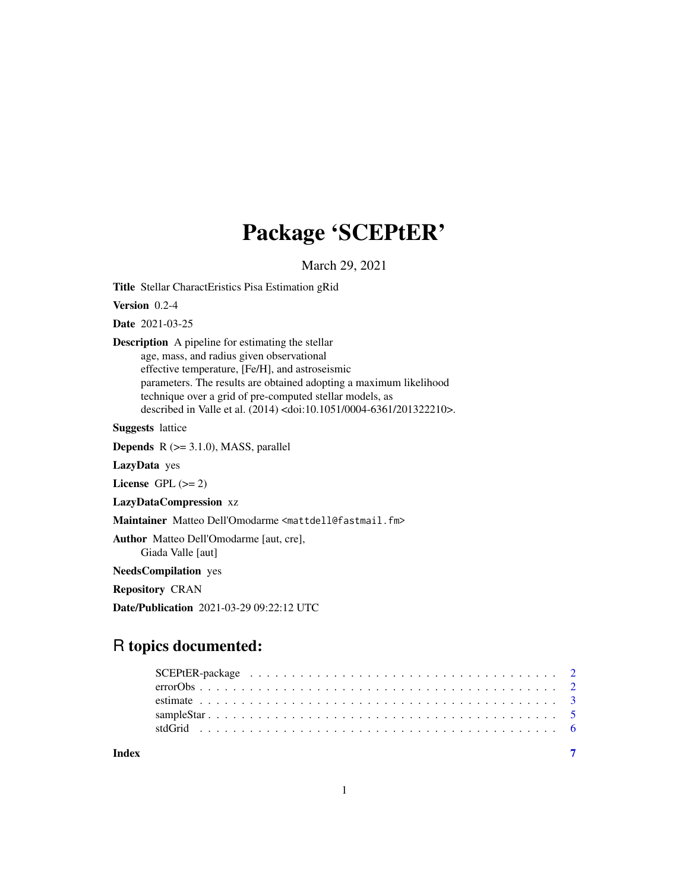## Package 'SCEPtER'

March 29, 2021

Title Stellar CharactEristics Pisa Estimation gRid

Version 0.2-4

Date 2021-03-25

Description A pipeline for estimating the stellar age, mass, and radius given observational effective temperature, [Fe/H], and astroseismic parameters. The results are obtained adopting a maximum likelihood technique over a grid of pre-computed stellar models, as described in Valle et al. (2014) <doi:10.1051/0004-6361/201322210>.

Suggests lattice

**Depends**  $R$  ( $>= 3.1.0$ ), MASS, parallel

LazyData yes

License GPL  $(>= 2)$ 

LazyDataCompression xz

Maintainer Matteo Dell'Omodarme <mattdell@fastmail.fm>

Author Matteo Dell'Omodarme [aut, cre], Giada Valle [aut]

NeedsCompilation yes

Repository CRAN

Date/Publication 2021-03-29 09:22:12 UTC

### R topics documented:

| Index |  |
|-------|--|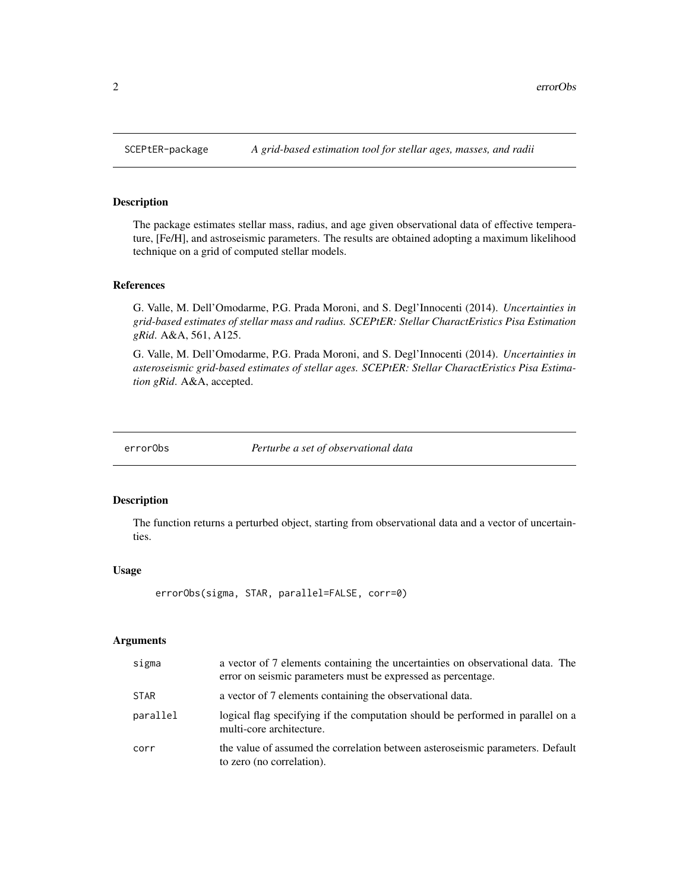#### Description

The package estimates stellar mass, radius, and age given observational data of effective temperature, [Fe/H], and astroseismic parameters. The results are obtained adopting a maximum likelihood technique on a grid of computed stellar models.

#### References

G. Valle, M. Dell'Omodarme, P.G. Prada Moroni, and S. Degl'Innocenti (2014). *Uncertainties in grid-based estimates of stellar mass and radius. SCEPtER: Stellar CharactEristics Pisa Estimation gRid*. A&A, 561, A125.

G. Valle, M. Dell'Omodarme, P.G. Prada Moroni, and S. Degl'Innocenti (2014). *Uncertainties in asteroseismic grid-based estimates of stellar ages. SCEPtER: Stellar CharactEristics Pisa Estimation gRid*. A&A, accepted.

errorObs *Perturbe a set of observational data*

#### Description

The function returns a perturbed object, starting from observational data and a vector of uncertainties.

#### Usage

```
errorObs(sigma, STAR, parallel=FALSE, corr=0)
```
#### **Arguments**

| sigma       | a vector of 7 elements containing the uncertainties on observational data. The<br>error on seismic parameters must be expressed as percentage. |
|-------------|------------------------------------------------------------------------------------------------------------------------------------------------|
| <b>STAR</b> | a vector of 7 elements containing the observational data.                                                                                      |
| parallel    | logical flag specifying if the computation should be performed in parallel on a<br>multi-core architecture.                                    |
| corr        | the value of assumed the correlation between asteroseismic parameters. Default<br>to zero (no correlation).                                    |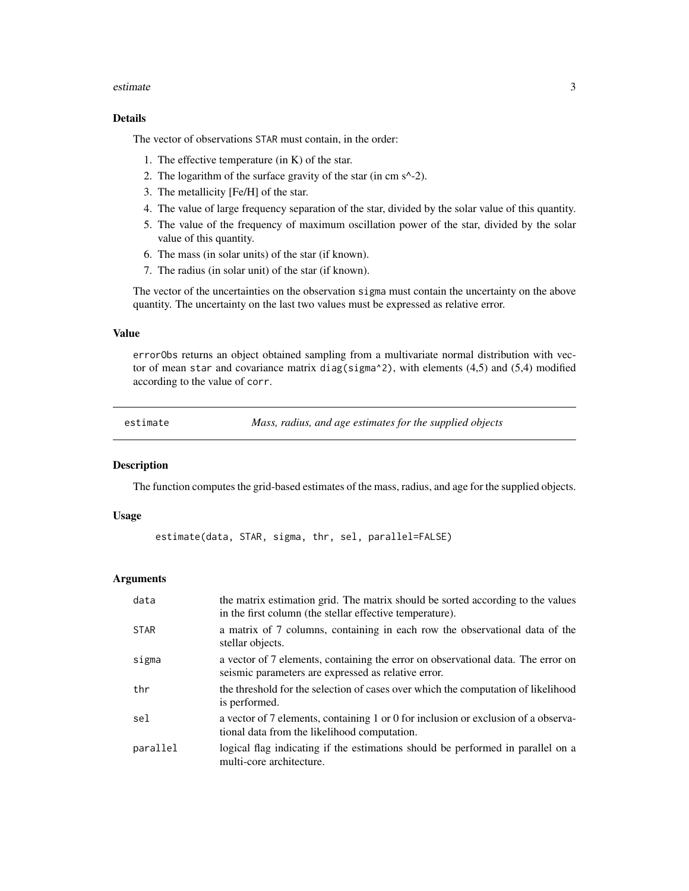#### <span id="page-2-0"></span>estimate 3

#### Details

The vector of observations STAR must contain, in the order:

- 1. The effective temperature (in K) of the star.
- 2. The logarithm of the surface gravity of the star (in cm s^-2).
- 3. The metallicity [Fe/H] of the star.
- 4. The value of large frequency separation of the star, divided by the solar value of this quantity.
- 5. The value of the frequency of maximum oscillation power of the star, divided by the solar value of this quantity.
- 6. The mass (in solar units) of the star (if known).
- 7. The radius (in solar unit) of the star (if known).

The vector of the uncertainties on the observation sigma must contain the uncertainty on the above quantity. The uncertainty on the last two values must be expressed as relative error.

#### Value

errorObs returns an object obtained sampling from a multivariate normal distribution with vector of mean star and covariance matrix diag(sigma^2), with elements  $(4,5)$  and  $(5,4)$  modified according to the value of corr.

estimate *Mass, radius, and age estimates for the supplied objects*

#### **Description**

The function computes the grid-based estimates of the mass, radius, and age for the supplied objects.

#### Usage

```
estimate(data, STAR, sigma, thr, sel, parallel=FALSE)
```
#### Arguments

| data        | the matrix estimation grid. The matrix should be sorted according to the values<br>in the first column (the stellar effective temperature). |
|-------------|---------------------------------------------------------------------------------------------------------------------------------------------|
| <b>STAR</b> | a matrix of 7 columns, containing in each row the observational data of the<br>stellar objects.                                             |
| sigma       | a vector of 7 elements, containing the error on observational data. The error on<br>seismic parameters are expressed as relative error.     |
| thr         | the threshold for the selection of cases over which the computation of likelihood<br>is performed.                                          |
| sel         | a vector of 7 elements, containing 1 or 0 for inclusion or exclusion of a observa-<br>tional data from the likelihood computation.          |
| parallel    | logical flag indicating if the estimations should be performed in parallel on a<br>multi-core architecture.                                 |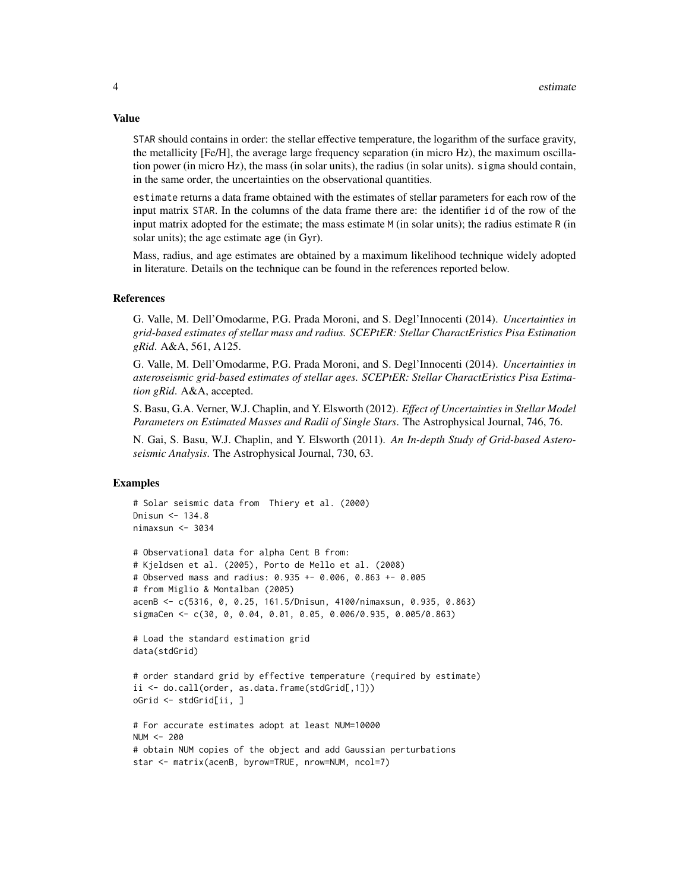STAR should contains in order: the stellar effective temperature, the logarithm of the surface gravity, the metallicity [Fe/H], the average large frequency separation (in micro Hz), the maximum oscillation power (in micro Hz), the mass (in solar units), the radius (in solar units). sigma should contain, in the same order, the uncertainties on the observational quantities.

estimate returns a data frame obtained with the estimates of stellar parameters for each row of the input matrix STAR. In the columns of the data frame there are: the identifier id of the row of the input matrix adopted for the estimate; the mass estimate M (in solar units); the radius estimate R (in solar units); the age estimate age (in Gyr).

Mass, radius, and age estimates are obtained by a maximum likelihood technique widely adopted in literature. Details on the technique can be found in the references reported below.

#### References

G. Valle, M. Dell'Omodarme, P.G. Prada Moroni, and S. Degl'Innocenti (2014). *Uncertainties in grid-based estimates of stellar mass and radius. SCEPtER: Stellar CharactEristics Pisa Estimation gRid*. A&A, 561, A125.

G. Valle, M. Dell'Omodarme, P.G. Prada Moroni, and S. Degl'Innocenti (2014). *Uncertainties in asteroseismic grid-based estimates of stellar ages. SCEPtER: Stellar CharactEristics Pisa Estimation gRid*. A&A, accepted.

S. Basu, G.A. Verner, W.J. Chaplin, and Y. Elsworth (2012). *Effect of Uncertainties in Stellar Model Parameters on Estimated Masses and Radii of Single Stars*. The Astrophysical Journal, 746, 76.

N. Gai, S. Basu, W.J. Chaplin, and Y. Elsworth (2011). *An In-depth Study of Grid-based Asteroseismic Analysis*. The Astrophysical Journal, 730, 63.

#### Examples

```
# Solar seismic data from Thiery et al. (2000)
Dnisun <- 134.8
nimaxsun <- 3034
# Observational data for alpha Cent B from:
# Kjeldsen et al. (2005), Porto de Mello et al. (2008)
# Observed mass and radius: 0.935 +- 0.006, 0.863 +- 0.005
# from Miglio & Montalban (2005)
acenB <- c(5316, 0, 0.25, 161.5/Dnisun, 4100/nimaxsun, 0.935, 0.863)
sigmaCen <- c(30, 0, 0.04, 0.01, 0.05, 0.006/0.935, 0.005/0.863)
# Load the standard estimation grid
data(stdGrid)
# order standard grid by effective temperature (required by estimate)
ii <- do.call(order, as.data.frame(stdGrid[,1]))
oGrid <- stdGrid[ii, ]
# For accurate estimates adopt at least NUM=10000
NUM < -200# obtain NUM copies of the object and add Gaussian perturbations
star <- matrix(acenB, byrow=TRUE, nrow=NUM, ncol=7)
```
#### Value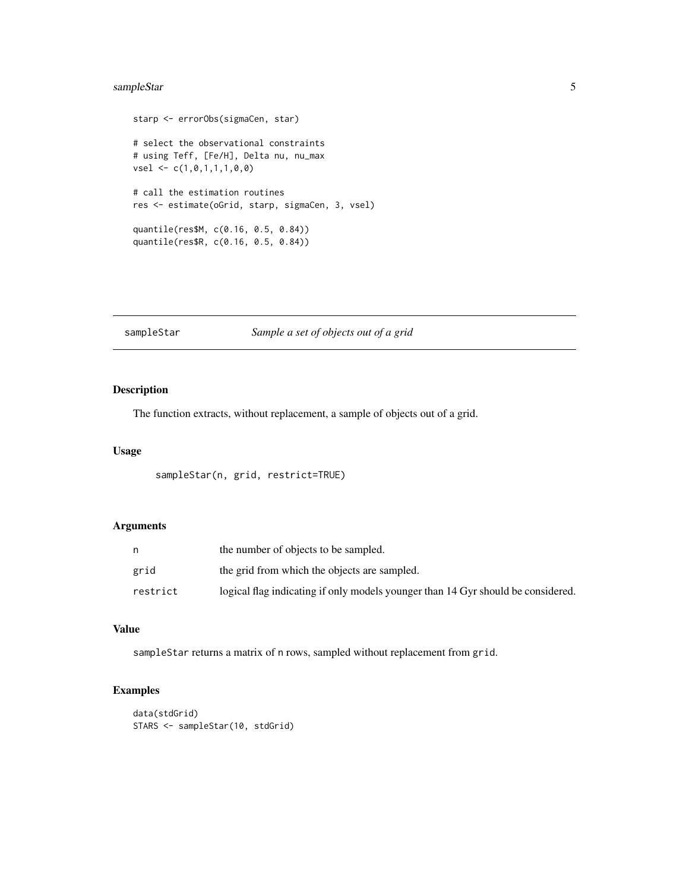### <span id="page-4-0"></span>sampleStar 5

```
starp <- errorObs(sigmaCen, star)
# select the observational constraints
# using Teff, [Fe/H], Delta nu, nu_max
vsel <- c(1,0,1,1,1,0,0)
# call the estimation routines
res <- estimate(oGrid, starp, sigmaCen, 3, vsel)
quantile(res$M, c(0.16, 0.5, 0.84))
quantile(res$R, c(0.16, 0.5, 0.84))
```
#### sampleStar *Sample a set of objects out of a grid*

### Description

The function extracts, without replacement, a sample of objects out of a grid.

#### Usage

```
sampleStar(n, grid, restrict=TRUE)
```
#### Arguments

|          | the number of objects to be sampled.                                             |
|----------|----------------------------------------------------------------------------------|
| grid     | the grid from which the objects are sampled.                                     |
| restrict | logical flag indicating if only models younger than 14 Gyr should be considered. |

#### Value

sampleStar returns a matrix of n rows, sampled without replacement from grid.

#### Examples

```
data(stdGrid)
STARS <- sampleStar(10, stdGrid)
```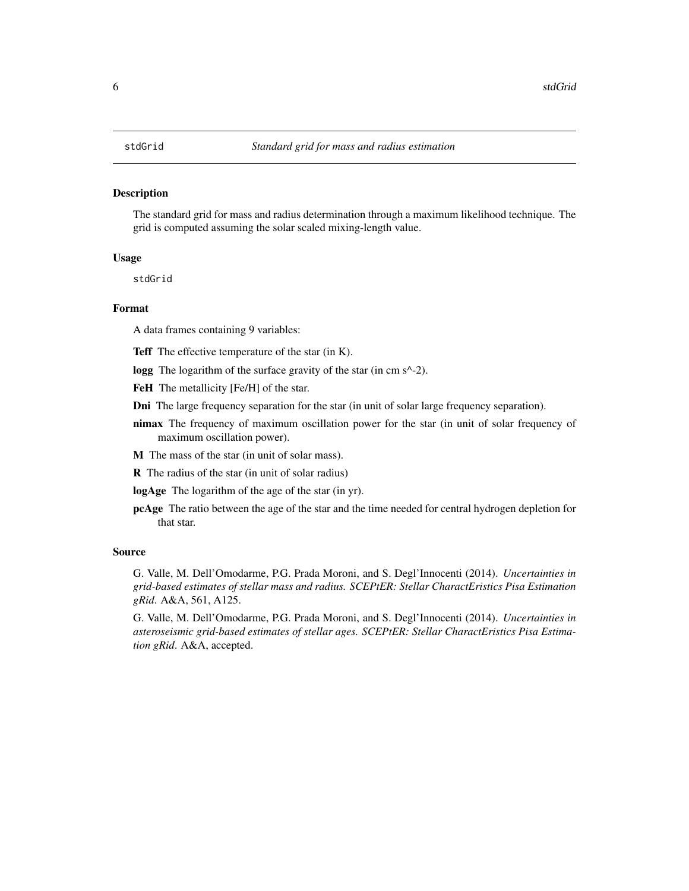#### <span id="page-5-0"></span>Description

The standard grid for mass and radius determination through a maximum likelihood technique. The grid is computed assuming the solar scaled mixing-length value.

#### Usage

stdGrid

#### Format

A data frames containing 9 variables:

Teff The effective temperature of the star (in K).

logg The logarithm of the surface gravity of the star (in cm s<sup> $\wedge$ -2).</sup>

FeH The metallicity [Fe/H] of the star.

Dni The large frequency separation for the star (in unit of solar large frequency separation).

nimax The frequency of maximum oscillation power for the star (in unit of solar frequency of maximum oscillation power).

M The mass of the star (in unit of solar mass).

R The radius of the star (in unit of solar radius)

logAge The logarithm of the age of the star (in yr).

pcAge The ratio between the age of the star and the time needed for central hydrogen depletion for that star.

#### Source

G. Valle, M. Dell'Omodarme, P.G. Prada Moroni, and S. Degl'Innocenti (2014). *Uncertainties in grid-based estimates of stellar mass and radius. SCEPtER: Stellar CharactEristics Pisa Estimation gRid*. A&A, 561, A125.

G. Valle, M. Dell'Omodarme, P.G. Prada Moroni, and S. Degl'Innocenti (2014). *Uncertainties in asteroseismic grid-based estimates of stellar ages. SCEPtER: Stellar CharactEristics Pisa Estimation gRid*. A&A, accepted.